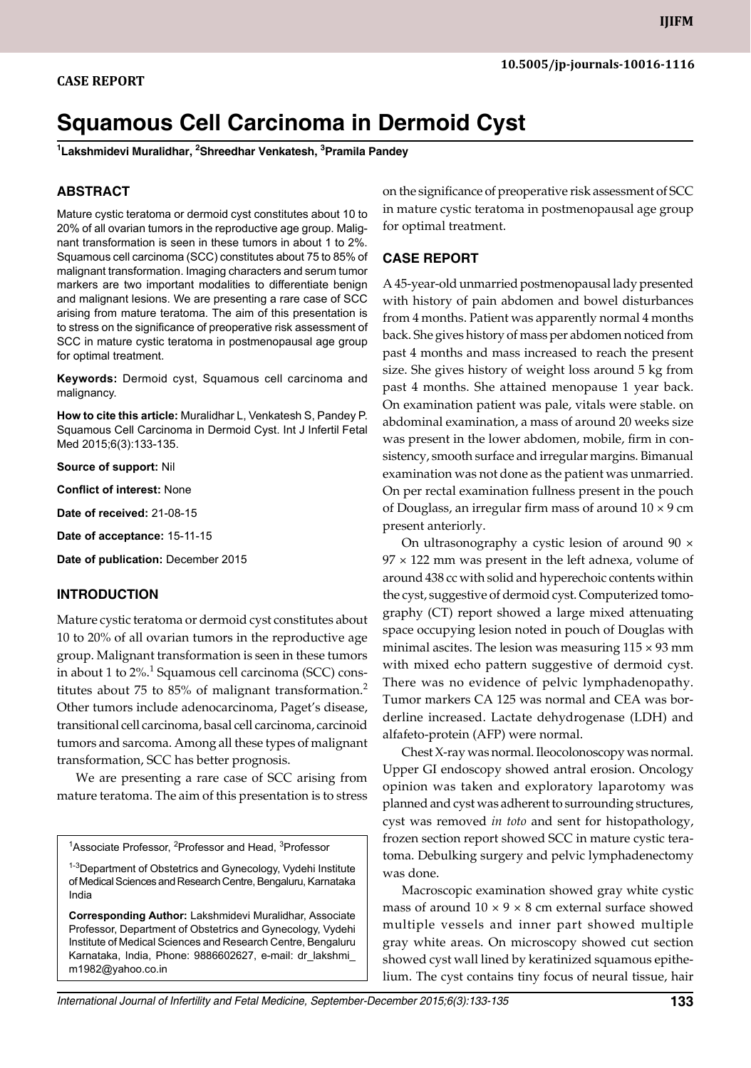# **Squamous Cell Carcinoma in Dermoid Cyst**

**1 Lakshmidevi Muralidhar, 2 Shreedhar Venkatesh, 3 Pramila Pandey**

## **ABSTRACT**

Mature cystic teratoma or dermoid cyst constitutes about 10 to 20% of all ovarian tumors in the reproductive age group. Malignant transformation is seen in these tumors in about 1 to 2%. Squamous cell carcinoma (SCC) constitutes about 75 to 85% of malignant transformation. Imaging characters and serum tumor markers are two important modalities to differentiate benign and malignant lesions. We are presenting a rare case of SCC arising from mature teratoma. The aim of this presentation is to stress on the significance of preoperative risk assessment of SCC in mature cystic teratoma in postmenopausal age group for optimal treatment.

**Keywords:** Dermoid cyst, Squamous cell carcinoma and malignancy.

**How to cite this article:** Muralidhar L, Venkatesh S, Pandey P. Squamous Cell Carcinoma in Dermoid Cyst. Int J Infertil Fetal Med 2015;6(3):133-135.

**Source of support:** Nil

**Conflict of interest:** None

**Date of received:** 21-08-15

**Date of acceptance:** 15-11-15

**Date of publication:** December 2015

#### **Introduction**

Mature cystic teratoma or dermoid cyst constitutes about 10 to 20% of all ovarian tumors in the reproductive age group. Malignant transformation is seen in these tumors in about 1 to 2%. $^1$  Squamous cell carcinoma (SCC) constitutes about 75 to 85% of malignant transformation.<sup>2</sup> Other tumors include adenocarcinoma, Paget's disease, transitional cell carcinoma, basal cell carcinoma, carcinoid tumors and sarcoma. Among all these types of malignant transformation, SCC has better prognosis.

We are presenting a rare case of SCC arising from mature teratoma. The aim of this presentation is to stress

<sup>1</sup>Associate Professor, <sup>2</sup>Professor and Head, <sup>3</sup>Professor

<sup>1-3</sup>Department of Obstetrics and Gynecology, Vydehi Institute of Medical Sciences and Research Centre, Bengaluru, Karnataka India

**Corresponding Author:** Lakshmidevi Muralidhar, Associate Professor, Department of Obstetrics and Gynecology, Vydehi Institute of Medical Sciences and Research Centre, Bengaluru Karnataka, India, Phone: 9886602627, e-mail: dr\_lakshmi\_ m1982@yahoo.co.in

on the significance of preoperative risk assessment of SCC in mature cystic teratoma in postmenopausal age group for optimal treatment.

### **Case report**

A 45-year-old unmarried postmenopausal lady presented with history of pain abdomen and bowel disturbances from 4 months. Patient was apparently normal 4 months back. She gives history of mass per abdomen noticed from past 4 months and mass increased to reach the present size. She gives history of weight loss around 5 kg from past 4 months. She attained menopause 1 year back. On examination patient was pale, vitals were stable. on abdominal examination, a mass of around 20 weeks size was present in the lower abdomen, mobile, firm in consistency, smooth surface and irregular margins. Bimanual examination was not done as the patient was unmarried. On per rectal examination fullness present in the pouch of Douglass, an irregular firm mass of around  $10 \times 9$  cm present anteriorly.

On ultrasonography a cystic lesion of around  $90 \times$  $97 \times 122$  mm was present in the left adnexa, volume of around 438 cc with solid and hyperechoic contents within the cyst, suggestive of dermoid cyst. Computerized tomography (CT) report showed a large mixed attenuating space occupying lesion noted in pouch of Douglas with minimal ascites. The lesion was measuring  $115 \times 93$  mm with mixed echo pattern suggestive of dermoid cyst. There was no evidence of pelvic lymphadenopathy. Tumor markers CA 125 was normal and CEA was borderline increased. Lactate dehydrogenase (LDH) and alfafeto-protein (AFP) were normal.

Chest X-ray was normal. Ileocolonoscopy was normal. Upper GI endoscopy showed antral erosion. Oncology opinion was taken and exploratory laparotomy was planned and cyst was adherent to surrounding structures, cyst was removed *in toto* and sent for histopathology, frozen section report showed SCC in mature cystic teratoma. Debulking surgery and pelvic lymphadenectomy was done.

Macroscopic examination showed gray white cystic mass of around  $10 \times 9 \times 8$  cm external surface showed multiple vessels and inner part showed multiple gray white areas. On microscopy showed cut section showed cyst wall lined by keratinized squamous epithelium. The cyst contains tiny focus of neural tissue, hair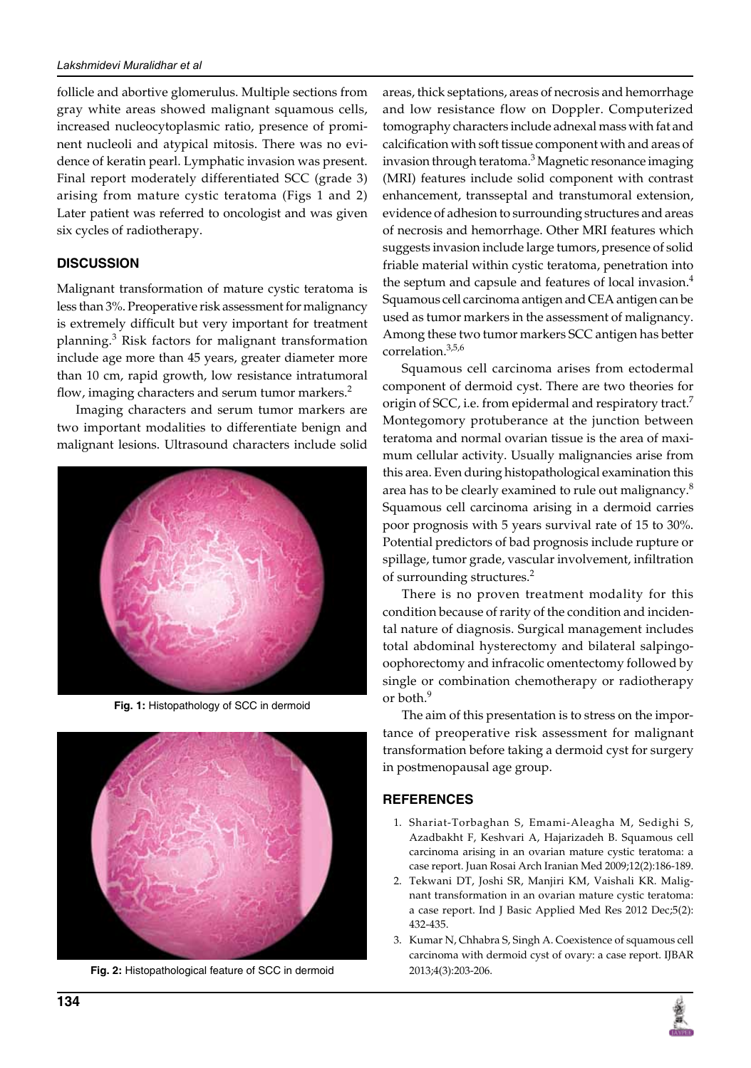follicle and abortive glomerulus. Multiple sections from gray white areas showed malignant squamous cells, increased nucleocytoplasmic ratio, presence of prominent nucleoli and atypical mitosis. There was no evidence of keratin pearl. Lymphatic invasion was present. Final report moderately differentiated SCC (grade 3) arising from mature cystic teratoma (Figs 1 and 2) Later patient was referred to oncologist and was given six cycles of radiotherapy.

# **Discussion**

Malignant transformation of mature cystic teratoma is less than 3%. Preoperative risk assessment for malignancy is extremely difficult but very important for treatment planning.<sup>3</sup> Risk factors for malignant transformation include age more than 45 years, greater diameter more than 10 cm, rapid growth, low resistance intratumoral flow, imaging characters and serum tumor markers.<sup>2</sup>

Imaging characters and serum tumor markers are two important modalities to differentiate benign and malignant lesions. Ultrasound characters include solid



**Fig. 1:** Histopathology of SCC in dermoid



Fig. 2: Histopathological feature of SCC in dermoid 2013;4(3):203-206.

areas, thick septations, areas of necrosis and hemorrhage and low resistance flow on Doppler. Computerized tomography characters include adnexal mass with fat and calcification with soft tissue component with and areas of invasion through teratoma.<sup>3</sup> Magnetic resonance imaging (MRI) features include solid component with contrast enhancement, transseptal and transtumoral extension, evidence of adhesion to surrounding structures and areas of necrosis and hemorrhage. Other MRI features which suggests invasion include large tumors, presence of solid friable material within cystic teratoma, penetration into the septum and capsule and features of local invasion.<sup>4</sup> Squamous cell carcinoma antigen and CEA antigen can be used as tumor markers in the assessment of malignancy. Among these two tumor markers SCC antigen has better correlation.3,5,6

Squamous cell carcinoma arises from ectodermal component of dermoid cyst. There are two theories for origin of SCC, i.e. from epidermal and respiratory tract.<sup>7</sup> Montegomory protuberance at the junction between teratoma and normal ovarian tissue is the area of maximum cellular activity. Usually malignancies arise from this area. Even during histopathological examination this area has to be clearly examined to rule out malignancy.<sup>8</sup> Squamous cell carcinoma arising in a dermoid carries poor prognosis with 5 years survival rate of 15 to 30%. Potential predictors of bad prognosis include rupture or spillage, tumor grade, vascular involvement, infiltration of surrounding structures.<sup>2</sup>

There is no proven treatment modality for this condition because of rarity of the condition and incidental nature of diagnosis. Surgical management includes total abdominal hysterectomy and bilateral salpingooophorectomy and infracolic omentectomy followed by single or combination chemotherapy or radiotherapy or both.<sup>9</sup>

The aim of this presentation is to stress on the importance of preoperative risk assessment for malignant transformation before taking a dermoid cyst for surgery in postmenopausal age group.

## **References**

- 1. Shariat-Torbaghan S, Emami-Aleagha M, Sedighi S, Azadbakht F, Keshvari A, Hajarizadeh B. Squamous cell carcinoma arising in an ovarian mature cystic teratoma: a case report. Juan Rosai Arch Iranian Med 2009;12(2):186-189.
- 2. Tekwani DT, Joshi SR, Manjiri KM, Vaishali KR. Malignant transformation in an ovarian mature cystic teratoma: a case report. Ind J Basic Applied Med Res 2012 Dec;5(2): 432-435.
- 3. Kumar N, Chhabra S, Singh A. Coexistence of squamous cell carcinoma with dermoid cyst of ovary: a case report. IJBAR